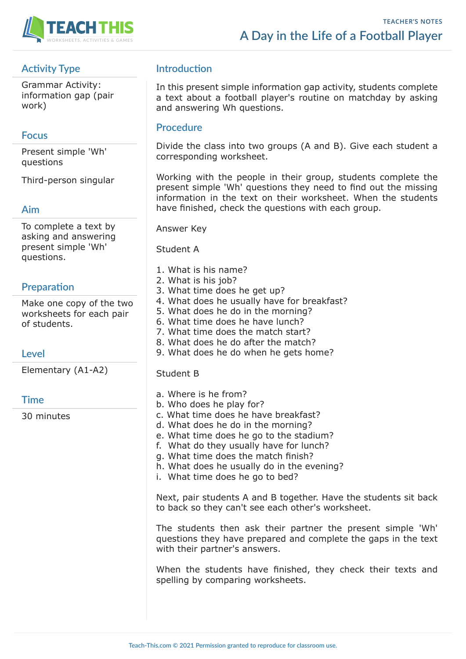

# **Activity Type**

Grammar Activity: information gap (pair work)

### **Focus**

Present simple 'Wh' questions

Third-person singular

#### **Aim**

To complete a text by asking and answering present simple 'Wh' questions.

# **Preparation**

Make one copy of the two worksheets for each pair of students.

# **Level**

Elementary (A1-A2)

# **Time**

30 minutes

# **Introduction**

In this present simple information gap activity, students complete a text about a football player's routine on matchday by asking and answering Wh questions.

#### **Procedure**

Divide the class into two groups (A and B). Give each student a corresponding worksheet.

Working with the people in their group, students complete the present simple 'Wh' questions they need to find out the missing information in the text on their worksheet. When the students have finished, check the questions with each group.

Answer Key

Student A

- 1. What is his name?
- 2. What is his job?
- 3. What time does he get up?
- 4. What does he usually have for breakfast?
- 5. What does he do in the morning?
- 6. What time does he have lunch?
- 7. What time does the match start?
- 8. What does he do after the match?
- 9. What does he do when he gets home?

#### Student B

- a. Where is he from?
- b. Who does he play for?
- c. What time does he have breakfast?
- d. What does he do in the morning?
- e. What time does he go to the stadium?
- f. What do they usually have for lunch?
- g. What time does the match finish?
- h. What does he usually do in the evening?
- i. What time does he go to bed?

Next, pair students A and B together. Have the students sit back to back so they can't see each other's worksheet.

The students then ask their partner the present simple 'Wh' questions they have prepared and complete the gaps in the text with their partner's answers.

When the students have finished, they check their texts and spelling by comparing worksheets.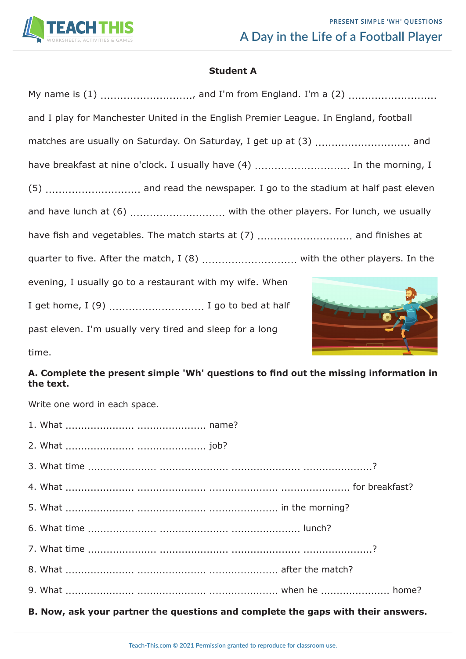

### **Student A**

| My name is (1) , and I'm from England. I'm a (2)                                     |  |  |  |  |  |
|--------------------------------------------------------------------------------------|--|--|--|--|--|
| and I play for Manchester United in the English Premier League. In England, football |  |  |  |  |  |
| matches are usually on Saturday. On Saturday, I get up at (3)  and                   |  |  |  |  |  |
| have breakfast at nine o'clock. I usually have (4)  In the morning, I                |  |  |  |  |  |
|                                                                                      |  |  |  |  |  |
|                                                                                      |  |  |  |  |  |
| have fish and vegetables. The match starts at (7)  and finishes at                   |  |  |  |  |  |
| quarter to five. After the match, I (8)  with the other players. In the              |  |  |  |  |  |
| evening, I usually go to a restaurant with my wife. When                             |  |  |  |  |  |
| I get home, I (9)  I go to bed at half                                               |  |  |  |  |  |
| past eleven. I'm usually very tired and sleep for a long                             |  |  |  |  |  |

time.

# **A. Complete the present simple 'Wh' questions to find out the missing information in the text.**

Write one word in each space.

|  | B. Now, ask your partner the questions and complete the gaps with their answers. |
|--|----------------------------------------------------------------------------------|
|  |                                                                                  |
|  |                                                                                  |
|  |                                                                                  |
|  |                                                                                  |
|  |                                                                                  |
|  |                                                                                  |
|  |                                                                                  |
|  |                                                                                  |
|  |                                                                                  |